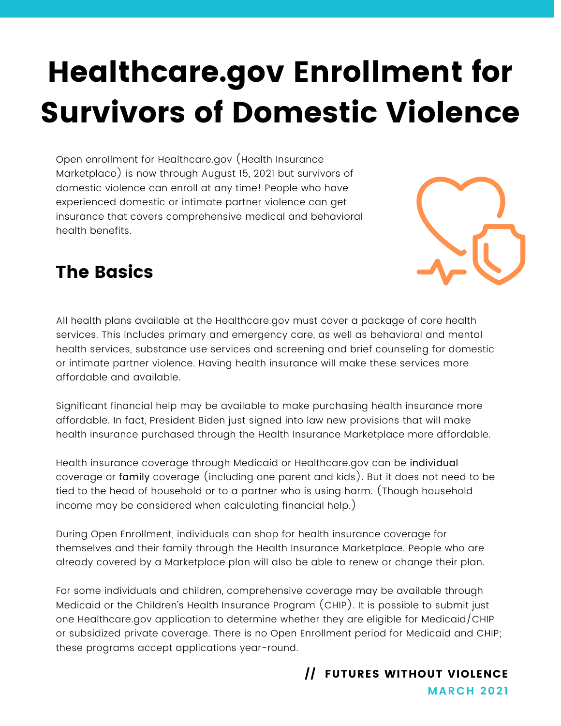# Healthcare.gov Enrollment for Survivors of Domestic Violence

Open enrollment for Healthcare.gov (Health Insurance Marketplace) is now through August 15, 2021 but survivors of domestic violence can enroll at any time! People who have experienced domestic or intimate partner violence can get insurance that covers comprehensive medical and behavioral health benefits.



#### The Basics

All health plans available at the Healthcare.gov must cover a package of core health services. This includes primary and emergency care, as well as behavioral and mental health services, substance use services and screening and brief counseling for domestic or intimate partner violence. Having health insurance will make these services more affordable and available.

Significant financial help may be available to make purchasing health insurance more affordable. In fact, President Biden just signed into law new provisions that will make health insurance purchased through the Health Insurance Marketplace more affordable.

Health insurance coverage through Medicaid or Healthcare.gov can be individual coverage or family coverage (including one parent and kids). But it does not need to be tied to the head of household or to a partner who is using harm. (Though household income may be considered when calculating financial help.)

During Open Enrollment, individuals can shop for health insurance coverage for themselves and their family through the Health Insurance Marketplace. People who are already covered by a Marketplace plan will also be able to renew or change their plan.

For some individuals and children, comprehensive coverage may be available through Medicaid or the Children's Health Insurance Program (CHIP). It is possible to submit just one Healthcare.gov application to determine whether they are eligible for Medicaid/CHIP or subsidized private coverage. There is no Open Enrollment period for Medicaid and CHIP; these programs accept applications year-round.

> **MARCH 2021** // FUTURES WITHOUT VIOLENCE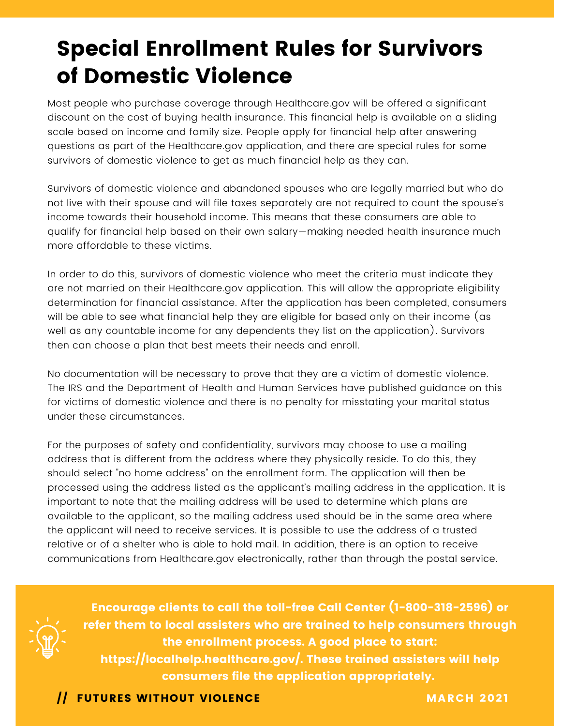# Special Enrollment Rules for Survivors of Domestic Violence

Most people who purchase coverage through Healthcare.gov will be offered a significant discount on the cost of buying health insurance. This financial help is available on a sliding scale based on income and family size. People apply for financial help after answering questions as part of the Healthcare.gov application, and there are special rules for some survivors of domestic violence to get as much financial help as they can.

Survivors of domestic violence and abandoned spouses who are legally married but who do not live with their spouse and will file taxes separately are not required to count the spouse's income towards their household income. This means that these consumers are able to qualify for financial help based on their own salary—making needed health insurance much more affordable to these victims.

In order to do this, survivors of domestic violence who meet the criteria must indicate they are not married on their H[ealthcare.gov](http://healthcare.gov/) application. This will allow the appropriate eligibility determination for financial assistance. After the application has been completed, consumers will be able to see what financial help they are eligible for based only on their income (as well as any countable income for any dependents they list on the application). Survivors then can choose a plan that best meets their needs and enroll.

No documentation will be necessary to prove that they are a victim of domestic violence. The IRS and the Department of Health and Human Services have published guidance on this for victims of domestic violence and there is no penalty for misstating your marital status under these circumstances.

For the purposes of safety and confidentiality, survivors may choose to use a mailing address that is different from the address where they physically reside. To do this, they should select "no home address" on the enrollment form. The application will then be processed using the address listed as the applicant's mailing address in the application. It is important to note that the mailing address will be used to determine which plans are available to the applicant, so the mailing address used should be in the same area where the applicant will need to receive services. It is possible to use the address of a trusted relative or of a shelter who is able to hold mail. In addition, there is an option to receive communications from H[ealthcare.gov](http://healthcare.gov/) electronically, rather than through the postal service.



Encourage clients to call the toll-free Call Center (1-800-318-2596) or refer them to local assisters who are trained to help consumers through the enrollment process. A good place to start: https://localhelp.healthcare.gov/. These trained assisters will help

consumers file the application appropriately.

**Solution International International Property of the UK ANN AND MARCH 2021**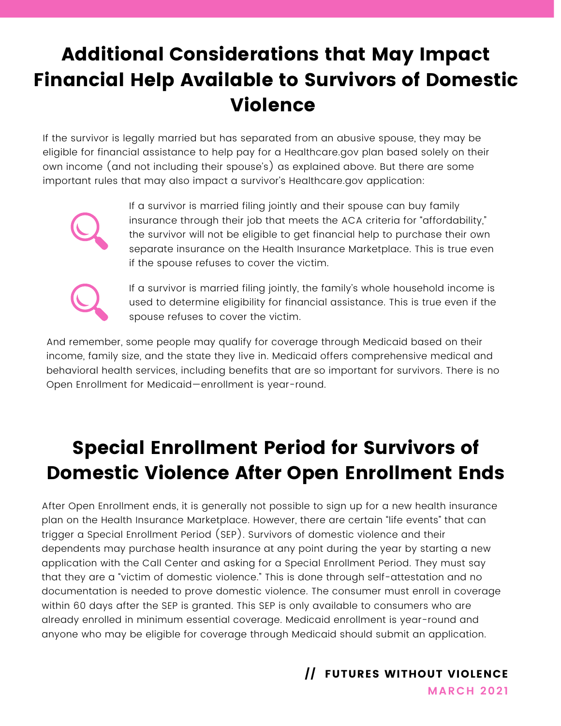## Additional Considerations that May Impact Financial Help Available to Survivors of Domestic Violence

If the survivor is legally married but has separated from an abusive spouse, they may be eligible for financial assistance to help pay for a Healthcare.gov plan based solely on their own income (and not including their spouse's) as explained above. But there are some important rules that may also impact a survivor's Healthcare.gov application:



If a survivor is married filing jointly and their spouse can buy family insurance through their job that meets the ACA criteria for "affordability," the survivor will not be eligible to get financial help to purchase their own separate insurance on the Health Insurance Marketplace. This is true even if the spouse refuses to cover the victim.



If a survivor is married filing jointly, the family's whole household income is used to determine eligibility for financial assistance. This is true even if the spouse refuses to cover the victim.

And remember, some people may qualify for coverage through Medicaid based on their income, family size, and the state they live in. Medicaid offers comprehensive medical and behavioral health services, including benefits that are so important for survivors. There is no Open Enrollment for Medicaid—enrollment is year-round.

## Special Enrollment Period for Survivors of Domestic Violence After Open Enrollment Ends

After Open Enrollment ends, it is generally not possible to sign up for a new health insurance plan on the Health Insurance Marketplace. However, there are certain "life events" that can trigger a Special Enrollment Period (SEP). Survivors of domestic violence and their dependents may purchase health insurance at any point during the year by starting a new application with the Call Center and asking for a Special Enrollment Period. They must say that they are a "victim of domestic violence." This is done through self-attestation and no documentation is needed to prove domestic violence. The consumer must enroll in coverage within 60 days after the SEP is granted. This SEP is only available to consumers who are already enrolled in minimum essential coverage. Medicaid enrollment is year-round and anyone who may be eligible for coverage through Medicaid should submit an application.

// FUTURES WITHOUT VIOLENCE

**MARCH 2021**